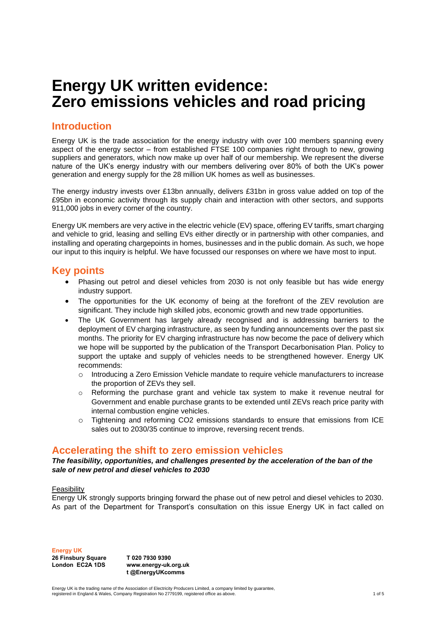# **Energy UK written evidence: Zero emissions vehicles and road pricing**

## **Introduction**

Energy UK is the trade association for the energy industry with over 100 members spanning every aspect of the energy sector – from established FTSE 100 companies right through to new, growing suppliers and generators, which now make up over half of our membership. We represent the diverse nature of the UK's energy industry with our members delivering over 80% of both the UK's power generation and energy supply for the 28 million UK homes as well as businesses.

The energy industry invests over £13bn annually, delivers £31bn in gross value added on top of the £95bn in economic activity through its supply chain and interaction with other sectors, and supports 911,000 jobs in every corner of the country.

Energy UK members are very active in the electric vehicle (EV) space, offering EV tariffs, smart charging and vehicle to grid, leasing and selling EVs either directly or in partnership with other companies, and installing and operating chargepoints in homes, businesses and in the public domain. As such, we hope our input to this inquiry is helpful. We have focussed our responses on where we have most to input.

## **Key points**

- Phasing out petrol and diesel vehicles from 2030 is not only feasible but has wide energy industry support.
- The opportunities for the UK economy of being at the forefront of the ZEV revolution are significant. They include high skilled jobs, economic growth and new trade opportunities.
- The UK Government has largely already recognised and is addressing barriers to the deployment of EV charging infrastructure, as seen by funding announcements over the past six months. The priority for EV charging infrastructure has now become the pace of delivery which we hope will be supported by the publication of the Transport Decarbonisation Plan. Policy to support the uptake and supply of vehicles needs to be strengthened however. Energy UK recommends:
	- $\circ$  Introducing a Zero Emission Vehicle mandate to require vehicle manufacturers to increase the proportion of ZEVs they sell.
	- $\circ$  Reforming the purchase grant and vehicle tax system to make it revenue neutral for Government and enable purchase grants to be extended until ZEVs reach price parity with internal combustion engine vehicles.
	- o Tightening and reforming CO2 emissions standards to ensure that emissions from ICE sales out to 2030/35 continue to improve, reversing recent trends.

## **Accelerating the shift to zero emission vehicles**

#### *The feasibility, opportunities, and challenges presented by the acceleration of the ban of the sale of new petrol and diesel vehicles to 2030*

## Feasibility

Energy UK strongly supports bringing forward the phase out of new petrol and diesel vehicles to 2030. As part of the Department for Transport's consultation on this issue Energy UK in fact called on

**Energy UK 26 Finsbury Square**

**London EC2A 1DS**

**T 020 7930 9390 www.energy-uk.org.uk t @EnergyUKcomms**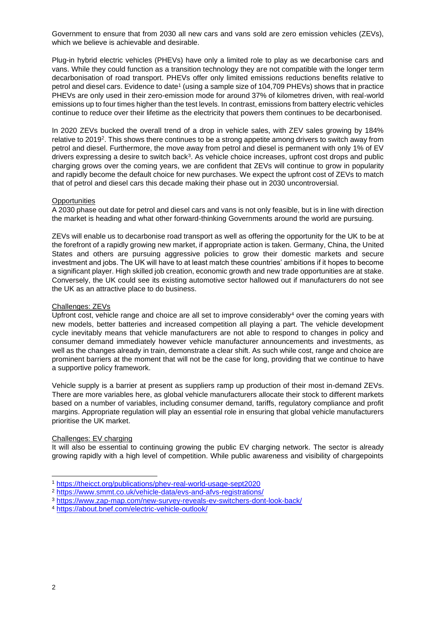Government to ensure that from 2030 all new cars and vans sold are zero emission vehicles (ZEVs), which we believe is achievable and desirable.

Plug-in hybrid electric vehicles (PHEVs) have only a limited role to play as we decarbonise cars and vans. While they could function as a transition technology they are not compatible with the longer term decarbonisation of road transport. PHEVs offer only limited emissions reductions benefits relative to petrol and diesel cars. Evidence to date<sup>1</sup> (using a sample size of 104,709 PHEVs) shows that in practice PHEVs are only used in their zero-emission mode for around 37% of kilometres driven, with real-world emissions up to four times higher than the test levels. In contrast, emissions from battery electric vehicles continue to reduce over their lifetime as the electricity that powers them continues to be decarbonised.

In 2020 ZEVs bucked the overall trend of a drop in vehicle sales, with ZEV sales growing by 184% relative to 2019<sup>2</sup>. This shows there continues to be a strong appetite among drivers to switch away from petrol and diesel. Furthermore, the move away from petrol and diesel is permanent with only 1% of EV drivers expressing a desire to switch back<sup>3</sup>. As vehicle choice increases, upfront cost drops and public charging grows over the coming years, we are confident that ZEVs will continue to grow in popularity and rapidly become the default choice for new purchases. We expect the upfront cost of ZEVs to match that of petrol and diesel cars this decade making their phase out in 2030 uncontroversial.

## **Opportunities**

A 2030 phase out date for petrol and diesel cars and vans is not only feasible, but is in line with direction the market is heading and what other forward-thinking Governments around the world are pursuing.

ZEVs will enable us to decarbonise road transport as well as offering the opportunity for the UK to be at the forefront of a rapidly growing new market, if appropriate action is taken. Germany, China, the United States and others are pursuing aggressive policies to grow their domestic markets and secure investment and jobs. The UK will have to at least match these countries' ambitions if it hopes to become a significant player. High skilled job creation, economic growth and new trade opportunities are at stake. Conversely, the UK could see its existing automotive sector hallowed out if manufacturers do not see the UK as an attractive place to do business.

## Challenges: ZEVs

Upfront cost, vehicle range and choice are all set to improve considerably<sup>4</sup> over the coming years with new models, better batteries and increased competition all playing a part. The vehicle development cycle inevitably means that vehicle manufacturers are not able to respond to changes in policy and consumer demand immediately however vehicle manufacturer announcements and investments, as well as the changes already in train, demonstrate a clear shift. As such while cost, range and choice are prominent barriers at the moment that will not be the case for long, providing that we continue to have a supportive policy framework.

Vehicle supply is a barrier at present as suppliers ramp up production of their most in-demand ZEVs. There are more variables here, as global vehicle manufacturers allocate their stock to different markets based on a number of variables, including consumer demand, tariffs, regulatory compliance and profit margins. Appropriate regulation will play an essential role in ensuring that global vehicle manufacturers prioritise the UK market.

#### Challenges: EV charging

It will also be essential to continuing growing the public EV charging network. The sector is already growing rapidly with a high level of competition. While public awareness and visibility of chargepoints

<sup>1</sup> <https://theicct.org/publications/phev-real-world-usage-sept2020>

<sup>2</sup> <https://www.smmt.co.uk/vehicle-data/evs-and-afvs-registrations/>

<sup>3</sup> <https://www.zap-map.com/new-survey-reveals-ev-switchers-dont-look-back/>

<sup>4</sup> <https://about.bnef.com/electric-vehicle-outlook/>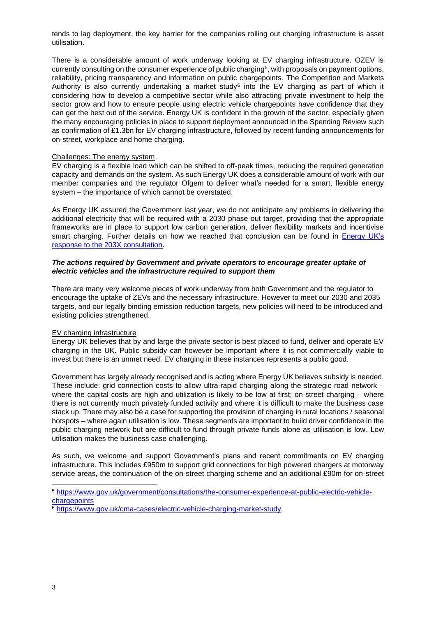tends to lag deployment, the key barrier for the companies rolling out charging infrastructure is asset utilisation.

There is a considerable amount of work underway looking at EV charging infrastructure. OZEV is currently consulting on the consumer experience of public charging $^5$ , with proposals on payment options, reliability, pricing transparency and information on public chargepoints. The Competition and Markets Authority is also currently undertaking a market study<sup>6</sup> into the EV charging as part of which it considering how to develop a competitive sector while also attracting private investment to help the sector grow and how to ensure people using electric vehicle chargepoints have confidence that they can get the best out of the service. Energy UK is confident in the growth of the sector, especially given the many encouraging policies in place to support deployment announced in the Spending Review such as confirmation of £1.3bn for EV charging infrastructure, followed by recent funding announcements for on-street, workplace and home charging.

#### Challenges: The energy system

EV charging is a flexible load which can be shifted to off-peak times, reducing the required generation capacity and demands on the system. As such Energy UK does a considerable amount of work with our member companies and the regulator Ofgem to deliver what's needed for a smart, flexible energy system – the importance of which cannot be overstated.

As Energy UK assured the Government last year, we do not anticipate any problems in delivering the additional electricity that will be required with a 2030 phase out target, providing that the appropriate frameworks are in place to support low carbon generation, deliver flexibility markets and incentivise smart charging. Further details on how we reached that conclusion can be found in Energy UK's [response to the 203X consultation.](https://www.energy-uk.org.uk/publication.html?task=file.download&id=7587)

#### *The actions required by Government and private operators to encourage greater uptake of electric vehicles and the infrastructure required to support them*

There are many very welcome pieces of work underway from both Government and the regulator to encourage the uptake of ZEVs and the necessary infrastructure. However to meet our 2030 and 2035 targets, and our legally binding emission reduction targets, new policies will need to be introduced and existing policies strengthened.

## EV charging infrastructure

Energy UK believes that by and large the private sector is best placed to fund, deliver and operate EV charging in the UK. Public subsidy can however be important where it is not commercially viable to invest but there is an unmet need. EV charging in these instances represents a public good.

Government has largely already recognised and is acting where Energy UK believes subsidy is needed. These include: grid connection costs to allow ultra-rapid charging along the strategic road network – where the capital costs are high and utilization is likely to be low at first; on-street charging – where there is not currently much privately funded activity and where it is difficult to make the business case stack up. There may also be a case for supporting the provision of charging in rural locations / seasonal hotspots – where again utilisation is low. These segments are important to build driver confidence in the public charging network but are difficult to fund through private funds alone as utilisation is low. Low utilisation makes the business case challenging.

As such, we welcome and support Government's plans and recent commitments on EV charging infrastructure. This includes £950m to support grid connections for high powered chargers at motorway service areas, the continuation of the on-street charging scheme and an additional £90m for on-street

<sup>5</sup> [https://www.gov.uk/government/consultations/the-consumer-experience-at-public-electric-vehicle](https://www.gov.uk/government/consultations/the-consumer-experience-at-public-electric-vehicle-chargepoints)**[chargepoints](https://www.gov.uk/government/consultations/the-consumer-experience-at-public-electric-vehicle-chargepoints)** 

<sup>&</sup>lt;sup>6</sup> <https://www.gov.uk/cma-cases/electric-vehicle-charging-market-study>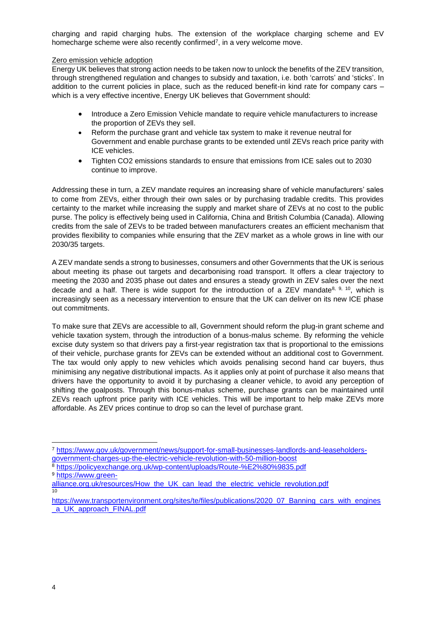charging and rapid charging hubs. The extension of the workplace charging scheme and EV homecharge scheme were also recently confirmed<sup>7</sup>, in a very welcome move.

#### Zero emission vehicle adoption

Energy UK believes that strong action needs to be taken now to unlock the benefits of the ZEV transition, through strengthened regulation and changes to subsidy and taxation, i.e. both 'carrots' and 'sticks'. In addition to the current policies in place, such as the reduced benefit-in kind rate for company cars – which is a very effective incentive, Energy UK believes that Government should:

- Introduce a Zero Emission Vehicle mandate to require vehicle manufacturers to increase the proportion of ZEVs they sell.
- Reform the purchase grant and vehicle tax system to make it revenue neutral for Government and enable purchase grants to be extended until ZEVs reach price parity with ICE vehicles.
- Tighten CO2 emissions standards to ensure that emissions from ICE sales out to 2030 continue to improve.

Addressing these in turn, a ZEV mandate requires an increasing share of vehicle manufacturers' sales to come from ZEVs, either through their own sales or by purchasing tradable credits. This provides certainty to the market while increasing the supply and market share of ZEVs at no cost to the public purse. The policy is effectively being used in California, China and British Columbia (Canada). Allowing credits from the sale of ZEVs to be traded between manufacturers creates an efficient mechanism that provides flexibility to companies while ensuring that the ZEV market as a whole grows in line with our 2030/35 targets.

A ZEV mandate sends a strong to businesses, consumers and other Governments that the UK is serious about meeting its phase out targets and decarbonising road transport. It offers a clear trajectory to meeting the 2030 and 2035 phase out dates and ensures a steady growth in ZEV sales over the next decade and a half. There is wide support for the introduction of a ZEV mandate<sup>8, 9, 10</sup>, which is increasingly seen as a necessary intervention to ensure that the UK can deliver on its new ICE phase out commitments.

To make sure that ZEVs are accessible to all, Government should reform the plug-in grant scheme and vehicle taxation system, through the introduction of a bonus-malus scheme. By reforming the vehicle excise duty system so that drivers pay a first-year registration tax that is proportional to the emissions of their vehicle, purchase grants for ZEVs can be extended without an additional cost to Government. The tax would only apply to new vehicles which avoids penalising second hand car buyers, thus minimising any negative distributional impacts. As it applies only at point of purchase it also means that drivers have the opportunity to avoid it by purchasing a cleaner vehicle, to avoid any perception of shifting the goalposts. Through this bonus-malus scheme, purchase grants can be maintained until ZEVs reach upfront price parity with ICE vehicles. This will be important to help make ZEVs more affordable. As ZEV prices continue to drop so can the level of purchase grant.

<sup>8</sup> <https://policyexchange.org.uk/wp-content/uploads/Route-%E2%80%9835.pdf> <sup>9</sup> [https://www.green-](https://www.green-alliance.org.uk/resources/How_the_UK_can_lead_the_electric_vehicle_revolution.pdf)

<sup>7</sup> [https://www.gov.uk/government/news/support-for-small-businesses-landlords-and-leaseholders](https://www.gov.uk/government/news/support-for-small-businesses-landlords-and-leaseholders-government-charges-up-the-electric-vehicle-revolution-with-50-million-boost)[government-charges-up-the-electric-vehicle-revolution-with-50-million-boost](https://www.gov.uk/government/news/support-for-small-businesses-landlords-and-leaseholders-government-charges-up-the-electric-vehicle-revolution-with-50-million-boost)

[alliance.org.uk/resources/How\\_the\\_UK\\_can\\_lead\\_the\\_electric\\_vehicle\\_revolution.pdf](https://www.green-alliance.org.uk/resources/How_the_UK_can_lead_the_electric_vehicle_revolution.pdf) 10

[https://www.transportenvironment.org/sites/te/files/publications/2020\\_07\\_Banning\\_cars\\_with\\_engines](https://www.transportenvironment.org/sites/te/files/publications/2020_07_Banning_cars_with_engines_a_UK_approach_FINAL.pdf) [\\_a\\_UK\\_approach\\_FINAL.pdf](https://www.transportenvironment.org/sites/te/files/publications/2020_07_Banning_cars_with_engines_a_UK_approach_FINAL.pdf)